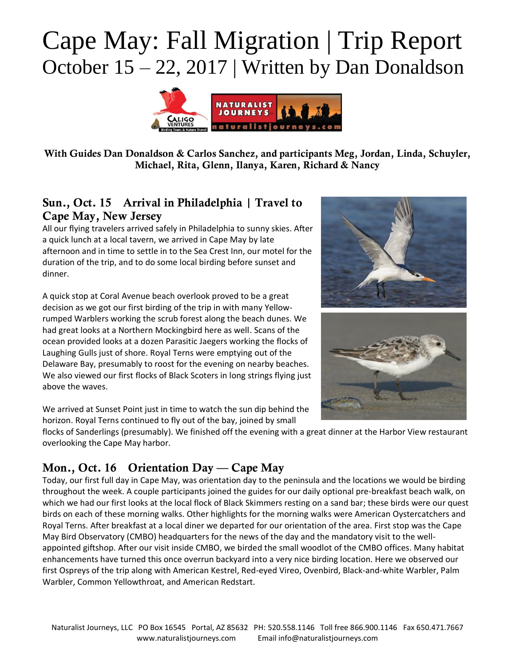

With Guides Dan Donaldson & Carlos Sanchez, and participants Meg, Jordan, Linda, Schuyler, Michael, Rita, Glenn, Ilanya, Karen, Richard & Nancy

#### Sun., Oct. 15 Arrival in Philadelphia | Travel to Cape May, New Jersey

All our flying travelers arrived safely in Philadelphia to sunny skies. After a quick lunch at a local tavern, we arrived in Cape May by late afternoon and in time to settle in to the Sea Crest Inn, our motel for the duration of the trip, and to do some local birding before sunset and dinner.

A quick stop at Coral Avenue beach overlook proved to be a great decision as we got our first birding of the trip in with many Yellowrumped Warblers working the scrub forest along the beach dunes. We had great looks at a Northern Mockingbird here as well. Scans of the ocean provided looks at a dozen Parasitic Jaegers working the flocks of Laughing Gulls just of shore. Royal Terns were emptying out of the Delaware Bay, presumably to roost for the evening on nearby beaches. We also viewed our first flocks of Black Scoters in long strings flying just above the waves.





We arrived at Sunset Point just in time to watch the sun dip behind the horizon. Royal Terns continued to fly out of the bay, joined by small

flocks of Sanderlings (presumably). We finished off the evening with a great dinner at the Harbor View restaurant overlooking the Cape May harbor.

### Mon., Oct. 16 Orientation Day — Cape May

Today, our first full day in Cape May, was orientation day to the peninsula and the locations we would be birding throughout the week. A couple participants joined the guides for our daily optional pre-breakfast beach walk, on which we had our first looks at the local flock of Black Skimmers resting on a sand bar; these birds were our quest birds on each of these morning walks. Other highlights for the morning walks were American Oystercatchers and Royal Terns. After breakfast at a local diner we departed for our orientation of the area. First stop was the Cape May Bird Observatory (CMBO) headquarters for the news of the day and the mandatory visit to the wellappointed giftshop. After our visit inside CMBO, we birded the small woodlot of the CMBO offices. Many habitat enhancements have turned this once overrun backyard into a very nice birding location. Here we observed our first Ospreys of the trip along with American Kestrel, Red-eyed Vireo, Ovenbird, Black-and-white Warbler, Palm Warbler, Common Yellowthroat, and American Redstart.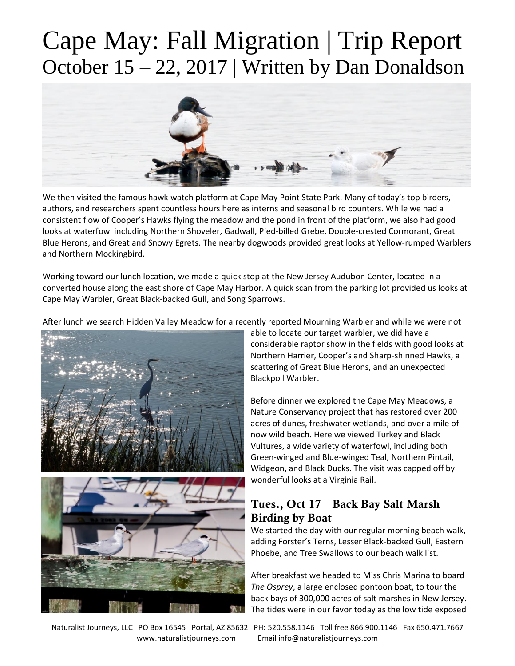

We then visited the famous hawk watch platform at Cape May Point State Park. Many of today's top birders, authors, and researchers spent countless hours here as interns and seasonal bird counters. While we had a consistent flow of Cooper's Hawks flying the meadow and the pond in front of the platform, we also had good looks at waterfowl including Northern Shoveler, Gadwall, Pied-billed Grebe, Double-crested Cormorant, Great Blue Herons, and Great and Snowy Egrets. The nearby dogwoods provided great looks at Yellow-rumped Warblers and Northern Mockingbird.

Working toward our lunch location, we made a quick stop at the New Jersey Audubon Center, located in a converted house along the east shore of Cape May Harbor. A quick scan from the parking lot provided us looks at Cape May Warbler, Great Black-backed Gull, and Song Sparrows.

After lunch we search Hidden Valley Meadow for a recently reported Mourning Warbler and while we were not





able to locate our target warbler, we did have a considerable raptor show in the fields with good looks at Northern Harrier, Cooper's and Sharp-shinned Hawks, a scattering of Great Blue Herons, and an unexpected Blackpoll Warbler.

Before dinner we explored the Cape May Meadows, a Nature Conservancy project that has restored over 200 acres of dunes, freshwater wetlands, and over a mile of now wild beach. Here we viewed Turkey and Black Vultures, a wide variety of waterfowl, including both Green-winged and Blue-winged Teal, Northern Pintail, Widgeon, and Black Ducks. The visit was capped off by wonderful looks at a Virginia Rail.

#### Tues., Oct 17 Back Bay Salt Marsh Birding by Boat

We started the day with our regular morning beach walk, adding Forster's Terns, Lesser Black-backed Gull, Eastern Phoebe, and Tree Swallows to our beach walk list.

After breakfast we headed to Miss Chris Marina to board *The Osprey*, a large enclosed pontoon boat, to tour the back bays of 300,000 acres of salt marshes in New Jersey. The tides were in our favor today as the low tide exposed

Naturalist Journeys, LLC PO Box 16545 Portal, AZ 85632 PH: 520.558.1146 Toll free 866.900.1146 Fax 650.471.7667 www.naturalistjourneys.com Email info@naturalistjourneys.com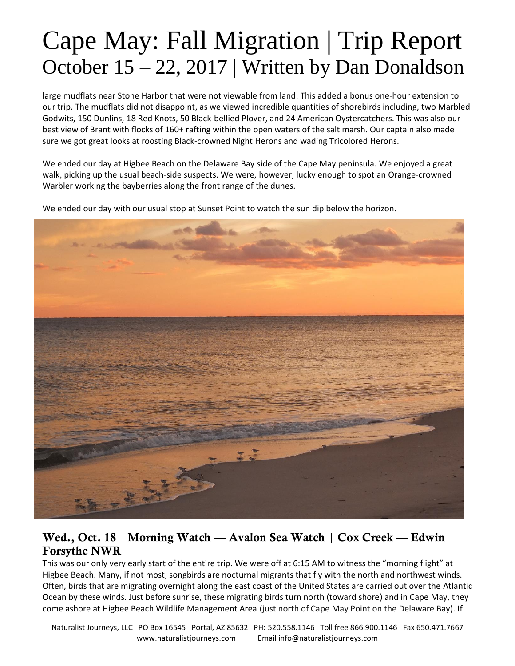large mudflats near Stone Harbor that were not viewable from land. This added a bonus one-hour extension to our trip. The mudflats did not disappoint, as we viewed incredible quantities of shorebirds including, two Marbled Godwits, 150 Dunlins, 18 Red Knots, 50 Black-bellied Plover, and 24 American Oystercatchers. This was also our best view of Brant with flocks of 160+ rafting within the open waters of the salt marsh. Our captain also made sure we got great looks at roosting Black-crowned Night Herons and wading Tricolored Herons.

We ended our day at Higbee Beach on the Delaware Bay side of the Cape May peninsula. We enjoyed a great walk, picking up the usual beach-side suspects. We were, however, lucky enough to spot an Orange-crowned Warbler working the bayberries along the front range of the dunes.

We ended our day with our usual stop at Sunset Point to watch the sun dip below the horizon.



#### Wed., Oct. 18 Morning Watch — Avalon Sea Watch | Cox Creek — Edwin Forsythe NWR

This was our only very early start of the entire trip. We were off at 6:15 AM to witness the "morning flight" at Higbee Beach. Many, if not most, songbirds are nocturnal migrants that fly with the north and northwest winds. Often, birds that are migrating overnight along the east coast of the United States are carried out over the Atlantic Ocean by these winds. Just before sunrise, these migrating birds turn north (toward shore) and in Cape May, they come ashore at Higbee Beach Wildlife Management Area (just north of Cape May Point on the Delaware Bay). If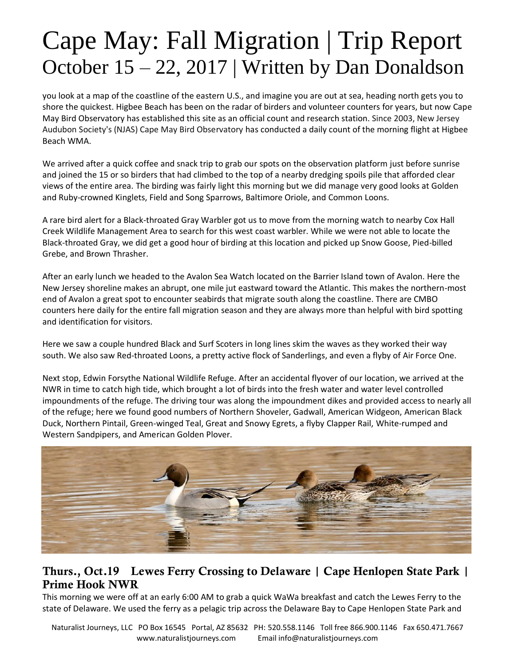you look at a map of the coastline of the eastern U.S., and imagine you are out at sea, heading north gets you to shore the quickest. Higbee Beach has been on the radar of birders and volunteer counters for years, but now Cape May Bird Observatory has established this site as an official count and research station. Since 2003, New Jersey Audubon Society's (NJAS) Cape May Bird Observatory has conducted a daily count of the morning flight at Higbee Beach WMA.

We arrived after a quick coffee and snack trip to grab our spots on the observation platform just before sunrise and joined the 15 or so birders that had climbed to the top of a nearby dredging spoils pile that afforded clear views of the entire area. The birding was fairly light this morning but we did manage very good looks at Golden and Ruby-crowned Kinglets, Field and Song Sparrows, Baltimore Oriole, and Common Loons.

A rare bird alert for a Black-throated Gray Warbler got us to move from the morning watch to nearby Cox Hall Creek Wildlife Management Area to search for this west coast warbler. While we were not able to locate the Black-throated Gray, we did get a good hour of birding at this location and picked up Snow Goose, Pied-billed Grebe, and Brown Thrasher.

After an early lunch we headed to the Avalon Sea Watch located on the Barrier Island town of Avalon. Here the New Jersey shoreline makes an abrupt, one mile jut eastward toward the Atlantic. This makes the northern-most end of Avalon a great spot to encounter seabirds that migrate south along the coastline. There are CMBO counters here daily for the entire fall migration season and they are always more than helpful with bird spotting and identification for visitors.

Here we saw a couple hundred Black and Surf Scoters in long lines skim the waves as they worked their way south. We also saw Red-throated Loons, a pretty active flock of Sanderlings, and even a flyby of Air Force One.

Next stop, Edwin Forsythe National Wildlife Refuge. After an accidental flyover of our location, we arrived at the NWR in time to catch high tide, which brought a lot of birds into the fresh water and water level controlled impoundments of the refuge. The driving tour was along the impoundment dikes and provided access to nearly all of the refuge; here we found good numbers of Northern Shoveler, Gadwall, American Widgeon, American Black Duck, Northern Pintail, Green-winged Teal, Great and Snowy Egrets, a flyby Clapper Rail, White-rumped and Western Sandpipers, and American Golden Plover.



#### Thurs., Oct.19 Lewes Ferry Crossing to Delaware | Cape Henlopen State Park | Prime Hook NWR

This morning we were off at an early 6:00 AM to grab a quick WaWa breakfast and catch the Lewes Ferry to the state of Delaware. We used the ferry as a pelagic trip across the Delaware Bay to Cape Henlopen State Park and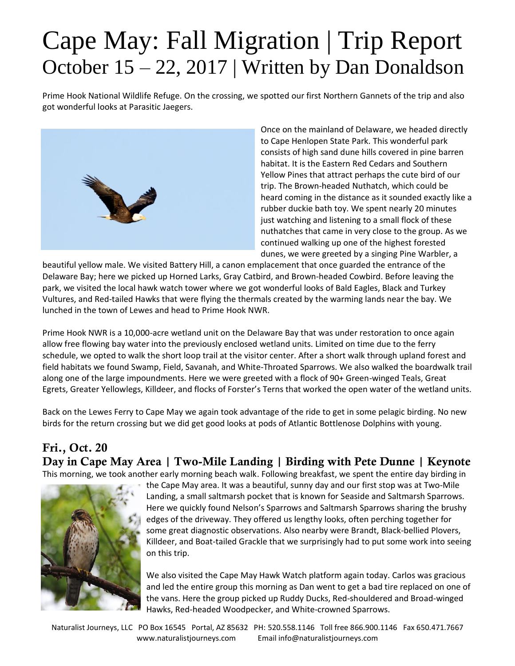Prime Hook National Wildlife Refuge. On the crossing, we spotted our first Northern Gannets of the trip and also got wonderful looks at Parasitic Jaegers.



Once on the mainland of Delaware, we headed directly to Cape Henlopen State Park. This wonderful park consists of high sand dune hills covered in pine barren habitat. It is the Eastern Red Cedars and Southern Yellow Pines that attract perhaps the cute bird of our trip. The Brown-headed Nuthatch, which could be heard coming in the distance as it sounded exactly like a rubber duckie bath toy. We spent nearly 20 minutes just watching and listening to a small flock of these nuthatches that came in very close to the group. As we continued walking up one of the highest forested dunes, we were greeted by a singing Pine Warbler, a

beautiful yellow male. We visited Battery Hill, a canon emplacement that once guarded the entrance of the Delaware Bay; here we picked up Horned Larks, Gray Catbird, and Brown-headed Cowbird. Before leaving the park, we visited the local hawk watch tower where we got wonderful looks of Bald Eagles, Black and Turkey Vultures, and Red-tailed Hawks that were flying the thermals created by the warming lands near the bay. We lunched in the town of Lewes and head to Prime Hook NWR.

Prime Hook NWR is a 10,000-acre wetland unit on the Delaware Bay that was under restoration to once again allow free flowing bay water into the previously enclosed wetland units. Limited on time due to the ferry schedule, we opted to walk the short loop trail at the visitor center. After a short walk through upland forest and field habitats we found Swamp, Field, Savanah, and White-Throated Sparrows. We also walked the boardwalk trail along one of the large impoundments. Here we were greeted with a flock of 90+ Green-winged Teals, Great Egrets, Greater Yellowlegs, Killdeer, and flocks of Forster's Terns that worked the open water of the wetland units.

Back on the Lewes Ferry to Cape May we again took advantage of the ride to get in some pelagic birding. No new birds for the return crossing but we did get good looks at pods of Atlantic Bottlenose Dolphins with young.

#### Fri., Oct. 20 Day in Cape May Area | Two-Mile Landing | Birding with Pete Dunne | Keynote This morning, we took another early morning beach walk. Following breakfast, we spent the entire day birding in



the Cape May area. It was a beautiful, sunny day and our first stop was at Two-Mile Landing, a small saltmarsh pocket that is known for Seaside and Saltmarsh Sparrows. Here we quickly found Nelson's Sparrows and Saltmarsh Sparrows sharing the brushy edges of the driveway. They offered us lengthy looks, often perching together for some great diagnostic observations. Also nearby were Brandt, Black-bellied Plovers, Killdeer, and Boat-tailed Grackle that we surprisingly had to put some work into seeing on this trip.

We also visited the Cape May Hawk Watch platform again today. Carlos was gracious and led the entire group this morning as Dan went to get a bad tire replaced on one of the vans. Here the group picked up Ruddy Ducks, Red-shouldered and Broad-winged Hawks, Red-headed Woodpecker, and White-crowned Sparrows.